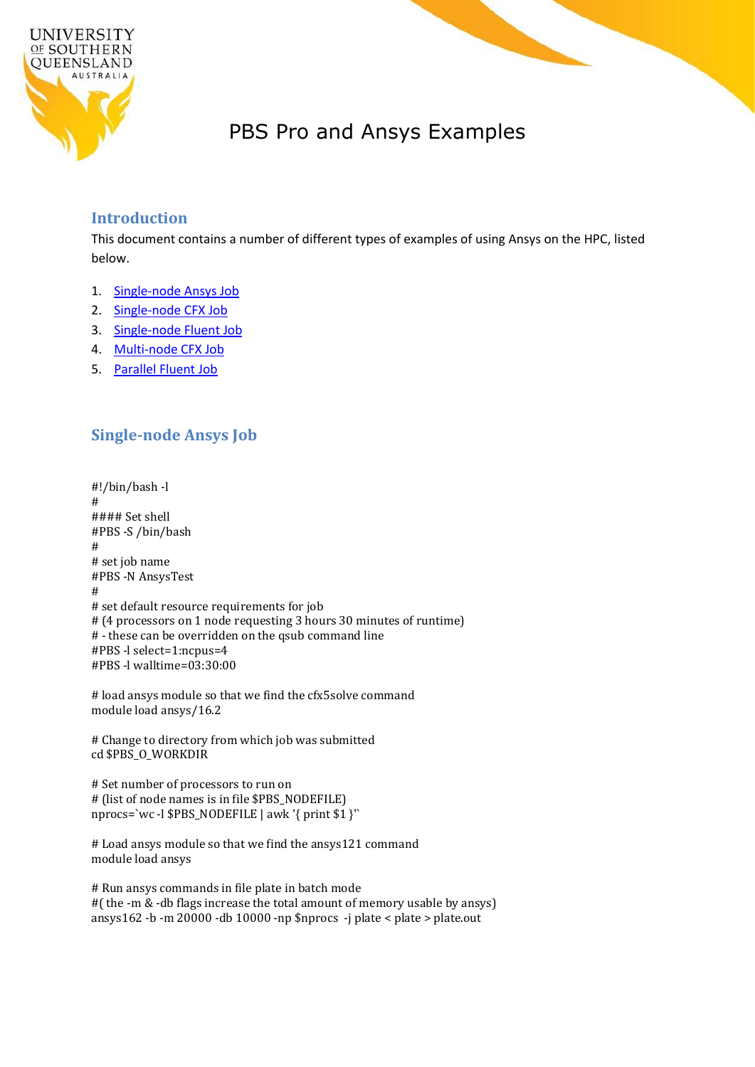

# PBS Pro and Ansys Examples

#### **Introduction**

This document contains a number of different types of examples of using Ansys on the HPC, listed below.

- 1. [Single-node Ansys Job](#page-0-0)
- 2. [Single-node CFX Job](#page-1-0)
- 3. [Single-node Fluent Job](#page-2-0)
- 4. [Multi-node CFX Job](#page-3-0)
- 5. [Parallel Fluent Job](#page-4-0)

# <span id="page-0-0"></span>**Single-node Ansys Job**

#!/bin/bash -l # #### Set shell #PBS -S /bin/bash # # set job name #PBS -N AnsysTest # # set default resource requirements for job # (4 processors on 1 node requesting 3 hours 30 minutes of runtime) # - these can be overridden on the qsub command line #PBS -l select=1:ncpus=4 #PBS -l walltime=03:30:00

# load ansys module so that we find the cfx5solve command module load ansys/16.2

# Change to directory from which job was submitted cd \$PBS\_O\_WORKDIR

# Set number of processors to run on # (list of node names is in file \$PBS\_NODEFILE) nprocs=`wc -l \$PBS\_NODEFILE | awk '{ print \$1 }'`

# Load ansys module so that we find the ansys121 command module load ansys

# Run ansys commands in file plate in batch mode #( the -m & -db flags increase the total amount of memory usable by ansys) ansys162 -b -m 20000 -db 10000 -np \$nprocs -j plate < plate > plate.out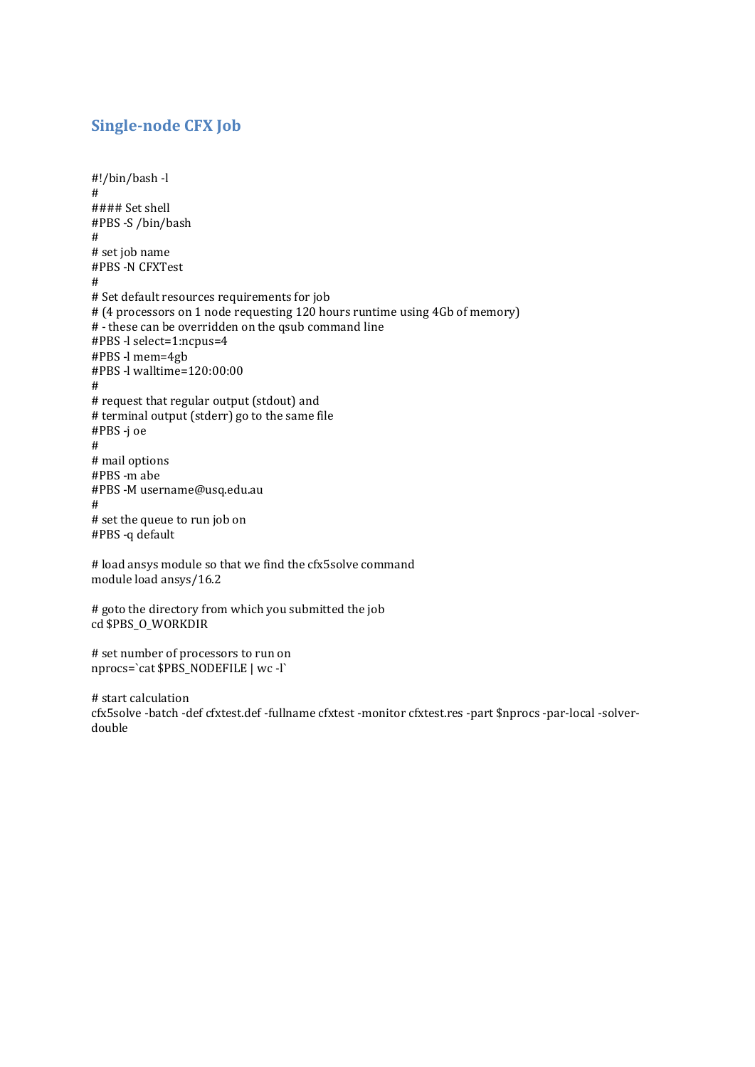#### <span id="page-1-0"></span>**Single-node CFX Job**

```
#!/bin/bash -l
#
#### Set shell
#PBS -S /bin/bash
#
# set job name
#PBS -N CFXTest
#
# Set default resources requirements for job
# (4 processors on 1 node requesting 120 hours runtime using 4Gb of memory)
# - these can be overridden on the qsub command line
#PBS -l select=1:ncpus=4
#PBS -l mem=4gb
#PBS -l walltime=120:00:00
#
# request that regular output (stdout) and 
# terminal output (stderr) go to the same file
#PBS -j oe
#
# mail options
#PBS -m abe
#PBS -M username@usq.edu.au
#
# set the queue to run job on
#PBS -q default
# load ansys module so that we find the cfx5solve command
module load ansys/16.2
```

```
# goto the directory from which you submitted the job
cd $PBS_O_WORKDIR
```

```
# set number of processors to run on
nprocs=`cat $PBS_NODEFILE | wc -l`
```

```
# start calculation
cfx5solve -batch -def cfxtest.def -fullname cfxtest -monitor cfxtest.res -part $nprocs -par-local -solver-
double
```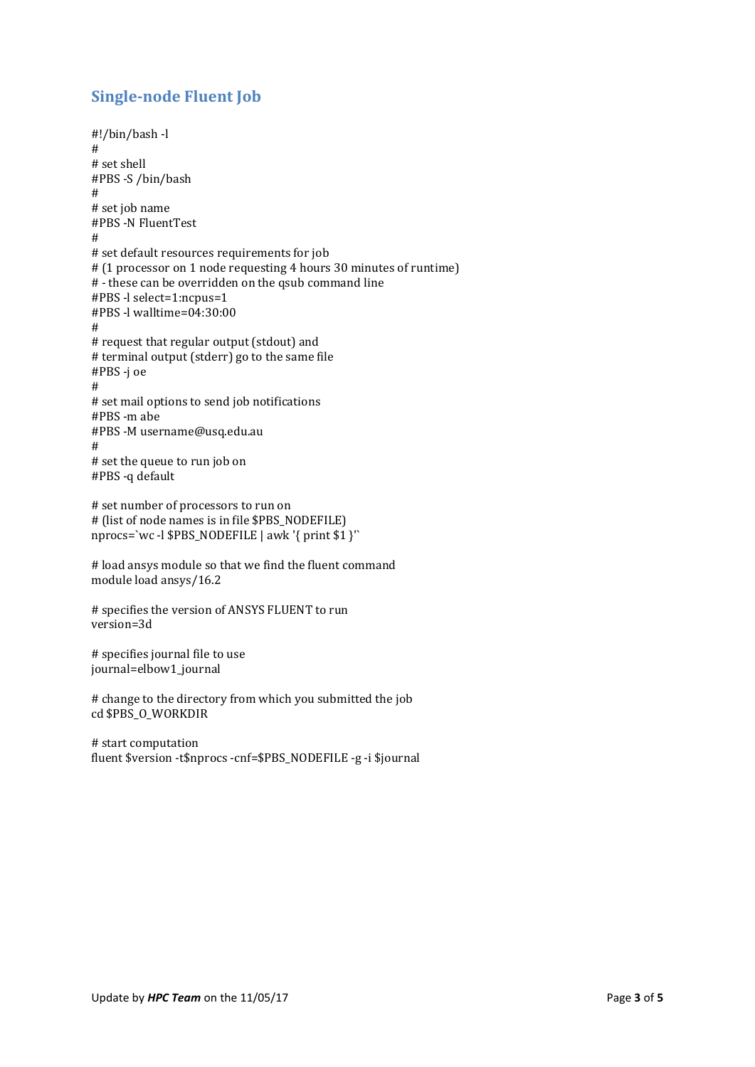# <span id="page-2-0"></span>**Single-node Fluent Job**

```
#!/bin/bash -l
#
# set shell
#PBS -S /bin/bash
#
# set job name
#PBS -N FluentTest
#
# set default resources requirements for job
# (1 processor on 1 node requesting 4 hours 30 minutes of runtime)
# - these can be overridden on the qsub command line
#PBS -l select=1:ncpus=1
#PBS -l walltime=04:30:00
#
# request that regular output (stdout) and
# terminal output (stderr) go to the same file
#PBS -j oe
#
# set mail options to send job notifications
#PBS -m abe
#PBS -M username@usq.edu.au
#
# set the queue to run job on
#PBS -q default
# set number of processors to run on 
# (list of node names is in file $PBS_NODEFILE)
```
nprocs=`wc -l \$PBS\_NODEFILE | awk '{ print \$1 }'`

# load ansys module so that we find the fluent command module load ansys/16.2

# specifies the version of ANSYS FLUENT to run version=3d

# specifies journal file to use journal=elbow1\_journal

# change to the directory from which you submitted the job cd \$PBS\_O\_WORKDIR

# start computation fluent \$version -t\$nprocs -cnf=\$PBS\_NODEFILE -g -i \$journal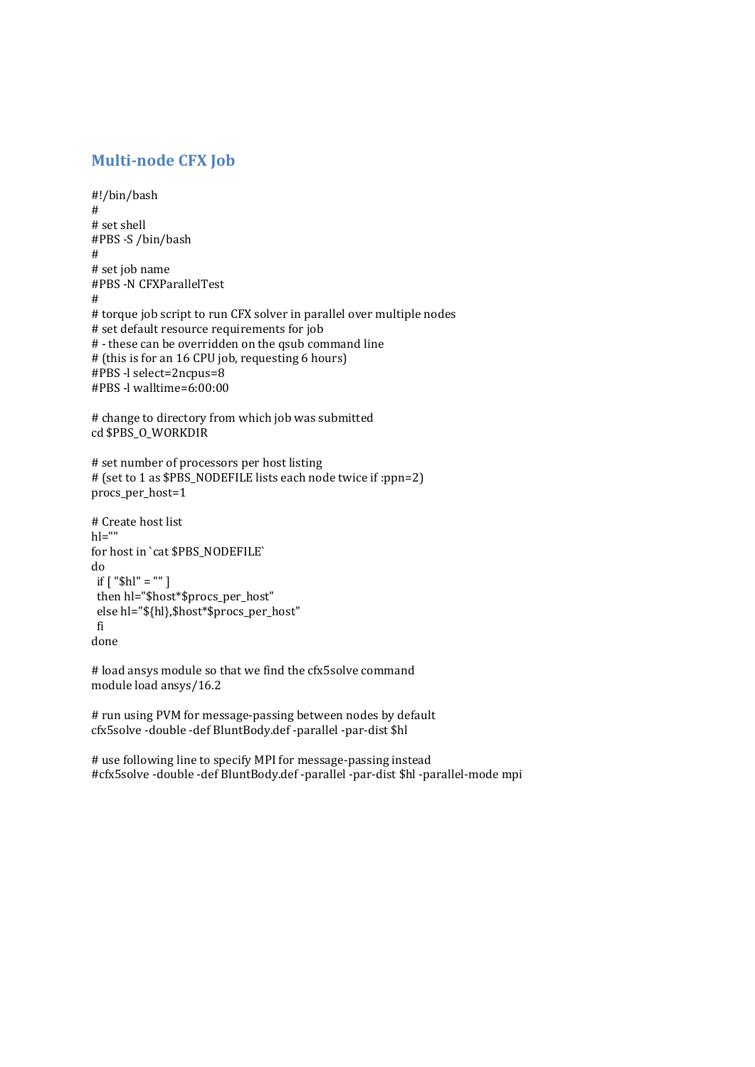# <span id="page-3-0"></span>**Multi-node CFX Job**

```
#!/bin/bash
#
# set shell
#PBS -S /bin/bash
#
# set job name
#PBS -N CFXParallelTest
#
# torque job script to run CFX solver in parallel over multiple nodes
# set default resource requirements for job 
# - these can be overridden on the qsub command line 
# (this is for an 16 CPU job, requesting 6 hours)
#PBS -l select=2ncpus=8
#PBS -l walltime=6:00:00
```

```
# change to directory from which job was submitted
cd $PBS_O_WORKDIR
```

```
# set number of processors per host listing
# (set to 1 as $PBS_NODEFILE lists each node twice if :ppn=2)
procs_per_host=1
```

```
# Create host list
h = "for host in `cat $PBS_NODEFILE`
do
if [ "$hl" = "" ]
 then hl="$host*$procs_per_host"
 else hl="${hl},$host*$procs_per_host"
 fi
done
```

```
# load ansys module so that we find the cfx5solve command
module load ansys/16.2
```

```
# run using PVM for message-passing between nodes by default
cfx5solve -double -def BluntBody.def -parallel -par-dist $hl
```
# use following line to specify MPI for message-passing instead #cfx5solve -double -def BluntBody.def -parallel -par-dist \$hl -parallel-mode mpi